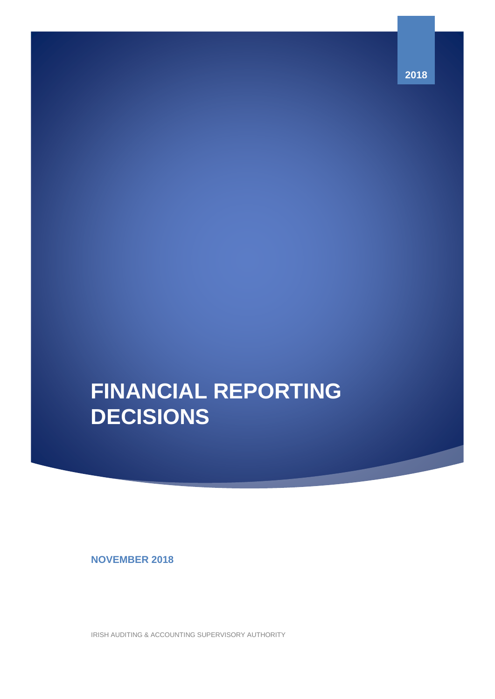# **FINANCIAL REPORTING DECISIONS**

**NOVEMBER 2018**

IRISH AUDITING & ACCOUNTING SUPERVISORY AUTHORITY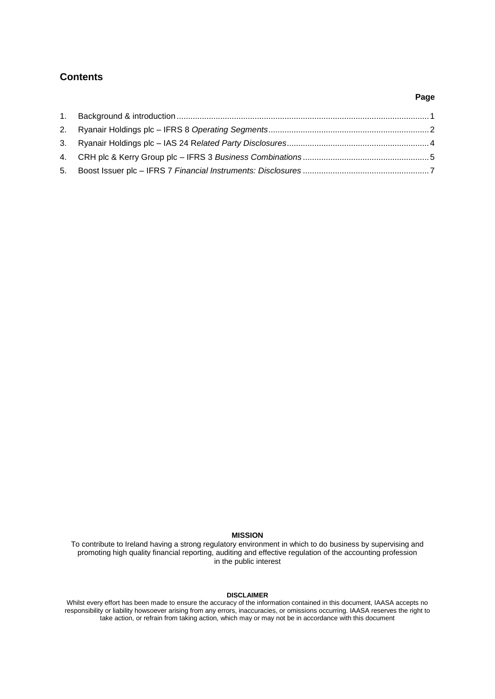## <span id="page-1-0"></span>**Contents**

### **Page**

#### **MISSION**

To contribute to Ireland having a strong regulatory environment in which to do business by supervising and promoting high quality financial reporting, auditing and effective regulation of the accounting profession in the public interest

## **DISCLAIMER**

Whilst every effort has been made to ensure the accuracy of the information contained in this document, IAASA accepts no responsibility or liability howsoever arising from any errors, inaccuracies, or omissions occurring. IAASA reserves the right to take action, or refrain from taking action, which may or may not be in accordance with this document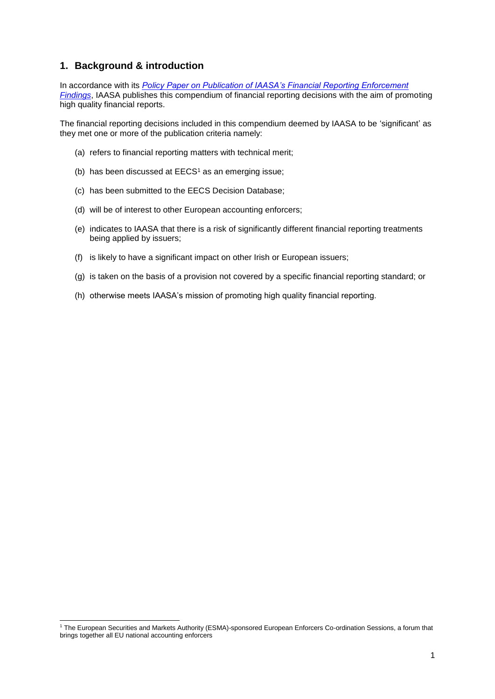## <span id="page-2-0"></span>**1. Background & introduction**

1

In accordance with its *[Policy Paper on Publication of IAASA's Financial Reporting Enforcement](http://www.iaasa.ie/getmedia/2a32b035-ca80-4a46-bbb6-067c5b0e9ea4/Revised-IAASA-Publications-Policy-Paper-final-21jun16.pdf?ext=.pdf)  [Findings](http://www.iaasa.ie/getmedia/2a32b035-ca80-4a46-bbb6-067c5b0e9ea4/Revised-IAASA-Publications-Policy-Paper-final-21jun16.pdf?ext=.pdf)*, IAASA publishes this compendium of financial reporting decisions with the aim of promoting high quality financial reports.

The financial reporting decisions included in this compendium deemed by IAASA to be 'significant' as they met one or more of the publication criteria namely:

- (a) refers to financial reporting matters with technical merit;
- (b) has been discussed at  $EECS<sup>1</sup>$  as an emerging issue;
- (c) has been submitted to the EECS Decision Database;
- (d) will be of interest to other European accounting enforcers;
- (e) indicates to IAASA that there is a risk of significantly different financial reporting treatments being applied by issuers;
- (f) is likely to have a significant impact on other Irish or European issuers;
- (g) is taken on the basis of a provision not covered by a specific financial reporting standard; or
- (h) otherwise meets IAASA's mission of promoting high quality financial reporting.

<sup>1</sup> The European Securities and Markets Authority (ESMA)-sponsored European Enforcers Co-ordination Sessions, a forum that brings together all EU national accounting enforcers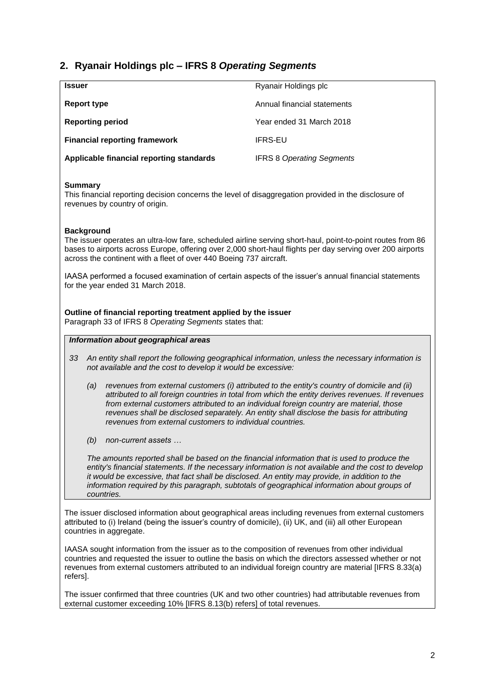# <span id="page-3-0"></span>**2. Ryanair Holdings plc – IFRS 8** *Operating Segments*

| <b>Issuer</b>                            | Ryanair Holdings plc             |
|------------------------------------------|----------------------------------|
| Report type                              | Annual financial statements      |
| <b>Reporting period</b>                  | Year ended 31 March 2018         |
| <b>Financial reporting framework</b>     | <b>IFRS-EU</b>                   |
| Applicable financial reporting standards | <b>IFRS 8 Operating Segments</b> |

#### **Summary**

This financial reporting decision concerns the level of disaggregation provided in the disclosure of revenues by country of origin.

#### **Background**

The issuer operates an ultra-low fare, scheduled airline serving short-haul, point-to-point routes from 86 bases to airports across Europe, offering over 2,000 short-haul flights per day serving over 200 airports across the continent with a fleet of over 440 Boeing 737 aircraft.

IAASA performed a focused examination of certain aspects of the issuer's annual financial statements for the year ended 31 March 2018.

**Outline of financial reporting treatment applied by the issuer** Paragraph 33 of IFRS 8 *Operating Segments* states that:

#### *Information about geographical areas*

- *33 An entity shall report the following geographical information, unless the necessary information is not available and the cost to develop it would be excessive:* 
	- *(a) revenues from external customers (i) attributed to the entity's country of domicile and (ii) attributed to all foreign countries in total from which the entity derives revenues. If revenues from external customers attributed to an individual foreign country are material, those revenues shall be disclosed separately. An entity shall disclose the basis for attributing revenues from external customers to individual countries.*
	- *(b) non-current assets …*

*The amounts reported shall be based on the financial information that is used to produce the entity's financial statements. If the necessary information is not available and the cost to develop it would be excessive, that fact shall be disclosed. An entity may provide, in addition to the information required by this paragraph, subtotals of geographical information about groups of countries.*

The issuer disclosed information about geographical areas including revenues from external customers attributed to (i) Ireland (being the issuer's country of domicile), (ii) UK, and (iii) all other European countries in aggregate.

IAASA sought information from the issuer as to the composition of revenues from other individual countries and requested the issuer to outline the basis on which the directors assessed whether or not revenues from external customers attributed to an individual foreign country are material [IFRS 8.33(a) refers].

The issuer confirmed that three countries (UK and two other countries) had attributable revenues from external customer exceeding 10% [IFRS 8.13(b) refers] of total revenues.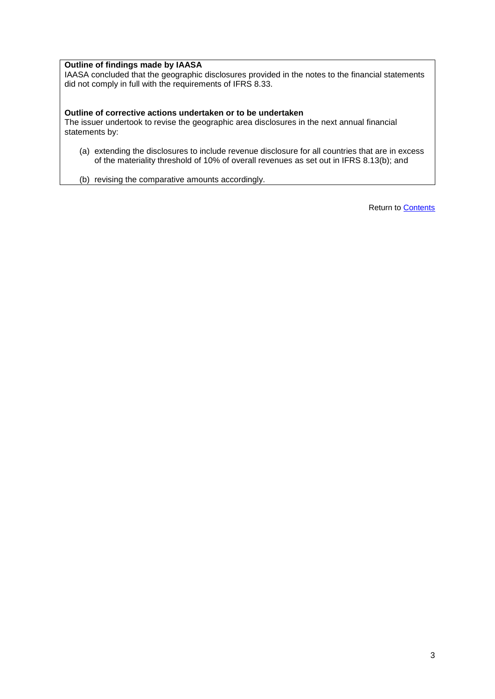#### **Outline of findings made by IAASA**

IAASA concluded that the geographic disclosures provided in the notes to the financial statements did not comply in full with the requirements of IFRS 8.33.

#### **Outline of corrective actions undertaken or to be undertaken**

The issuer undertook to revise the geographic area disclosures in the next annual financial statements by:

(a) extending the disclosures to include revenue disclosure for all countries that are in excess of the materiality threshold of 10% of overall revenues as set out in IFRS 8.13(b); and

<span id="page-4-0"></span>(b) revising the comparative amounts accordingly.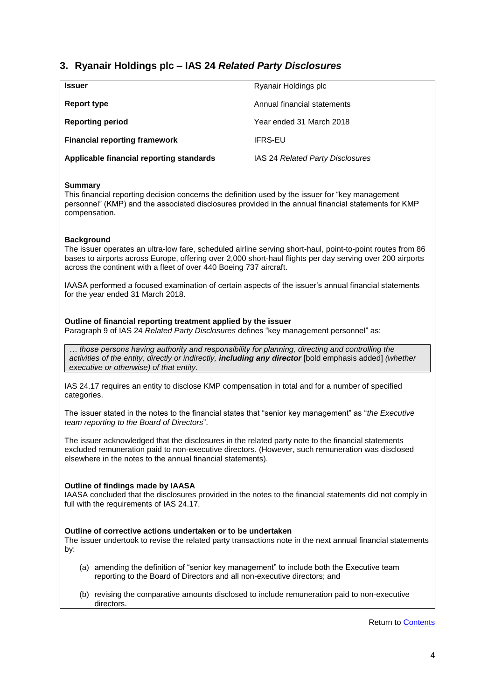# **3. Ryanair Holdings plc – IAS 24** *Related Party Disclosures*

| <b>Issuer</b>                            | Ryanair Holdings plc             |
|------------------------------------------|----------------------------------|
| Report type                              | Annual financial statements      |
| <b>Reporting period</b>                  | Year ended 31 March 2018         |
| <b>Financial reporting framework</b>     | <b>IFRS-EU</b>                   |
| Applicable financial reporting standards | IAS 24 Related Party Disclosures |

#### **Summary**

This financial reporting decision concerns the definition used by the issuer for "key management personnel" (KMP) and the associated disclosures provided in the annual financial statements for KMP compensation.

#### **Background**

The issuer operates an ultra-low fare, scheduled airline serving short-haul, point-to-point routes from 86 bases to airports across Europe, offering over 2,000 short-haul flights per day serving over 200 airports across the continent with a fleet of over 440 Boeing 737 aircraft.

IAASA performed a focused examination of certain aspects of the issuer's annual financial statements for the year ended 31 March 2018.

#### **Outline of financial reporting treatment applied by the issuer**

Paragraph 9 of IAS 24 *Related Party Disclosures* defines "key management personnel" as:

*… those persons having authority and responsibility for planning, directing and controlling the activities of the entity, directly or indirectly, including any director* [bold emphasis added] *(whether executive or otherwise) of that entity.*

IAS 24.17 requires an entity to disclose KMP compensation in total and for a number of specified categories.

The issuer stated in the notes to the financial states that "senior key management" as "*the Executive team reporting to the Board of Directors*".

The issuer acknowledged that the disclosures in the related party note to the financial statements excluded remuneration paid to non-executive directors. (However, such remuneration was disclosed elsewhere in the notes to the annual financial statements).

#### **Outline of findings made by IAASA**

IAASA concluded that the disclosures provided in the notes to the financial statements did not comply in full with the requirements of IAS 24.17.

#### **Outline of corrective actions undertaken or to be undertaken**

The issuer undertook to revise the related party transactions note in the next annual financial statements by:

- (a) amending the definition of "senior key management" to include both the Executive team reporting to the Board of Directors and all non-executive directors; and
- (b) revising the comparative amounts disclosed to include remuneration paid to non-executive directors.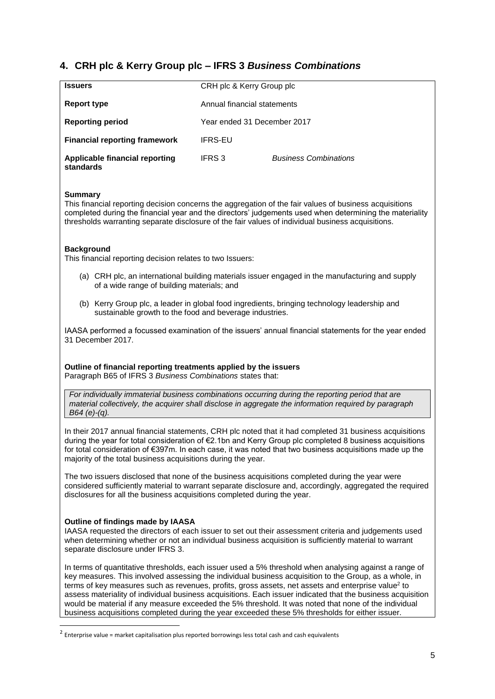# <span id="page-6-0"></span>**4. CRH plc & Kerry Group plc – IFRS 3** *Business Combinations*

| <b>Issuers</b>                              | CRH plc & Kerry Group plc   |                              |  |
|---------------------------------------------|-----------------------------|------------------------------|--|
| Report type                                 | Annual financial statements |                              |  |
| <b>Reporting period</b>                     | Year ended 31 December 2017 |                              |  |
| <b>Financial reporting framework</b>        | <b>IFRS-EU</b>              |                              |  |
| Applicable financial reporting<br>standards | IFRS 3                      | <b>Business Combinations</b> |  |

#### **Summary**

This financial reporting decision concerns the aggregation of the fair values of business acquisitions completed during the financial year and the directors' judgements used when determining the materiality thresholds warranting separate disclosure of the fair values of individual business acquisitions.

#### **Background**

This financial reporting decision relates to two Issuers:

- (a) CRH plc, an international building materials issuer engaged in the manufacturing and supply of a wide range of building materials; and
- (b) Kerry Group plc, a leader in global food ingredients, bringing technology leadership and sustainable growth to the food and beverage industries.

IAASA performed a focussed examination of the issuers' annual financial statements for the year ended 31 December 2017.

**Outline of financial reporting treatments applied by the issuers** Paragraph B65 of IFRS 3 *Business Combinations* states that:

*For individually immaterial business combinations occurring during the reporting period that are material collectively, the acquirer shall disclose in aggregate the information required by paragraph B64 (e)-(q).*

In their 2017 annual financial statements, CRH plc noted that it had completed 31 business acquisitions during the year for total consideration of €2.1bn and Kerry Group plc completed 8 business acquisitions for total consideration of €397m. In each case, it was noted that two business acquisitions made up the majority of the total business acquisitions during the year.

The two issuers disclosed that none of the business acquisitions completed during the year were considered sufficiently material to warrant separate disclosure and, accordingly, aggregated the required disclosures for all the business acquisitions completed during the year.

#### **Outline of findings made by IAASA**

-

IAASA requested the directors of each issuer to set out their assessment criteria and judgements used when determining whether or not an individual business acquisition is sufficiently material to warrant separate disclosure under IFRS 3.

In terms of quantitative thresholds, each issuer used a 5% threshold when analysing against a range of key measures. This involved assessing the individual business acquisition to the Group, as a whole, in terms of key measures such as revenues, profits, gross assets, net assets and enterprise value<sup>2</sup> to assess materiality of individual business acquisitions. Each issuer indicated that the business acquisition would be material if any measure exceeded the 5% threshold. It was noted that none of the individual business acquisitions completed during the year exceeded these 5% thresholds for either issuer.

<sup>&</sup>lt;sup>2</sup> Enterprise value = market capitalisation plus reported borrowings less total cash and cash equivalents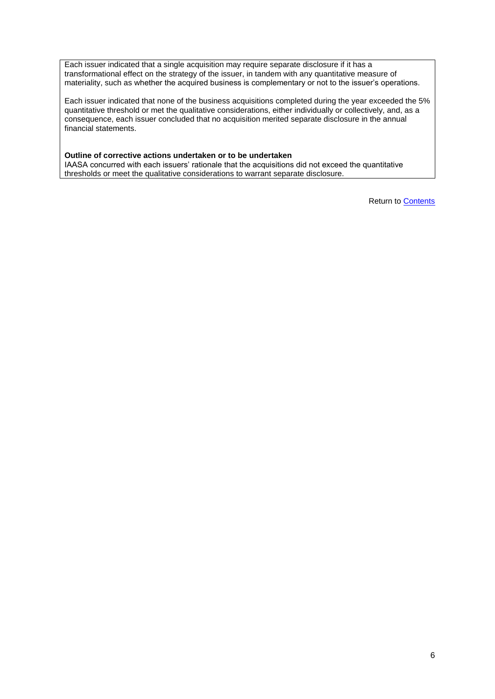Each issuer indicated that a single acquisition may require separate disclosure if it has a transformational effect on the strategy of the issuer, in tandem with any quantitative measure of materiality, such as whether the acquired business is complementary or not to the issuer's operations.

Each issuer indicated that none of the business acquisitions completed during the year exceeded the 5% quantitative threshold or met the qualitative considerations, either individually or collectively, and, as a consequence, each issuer concluded that no acquisition merited separate disclosure in the annual financial statements.

#### **Outline of corrective actions undertaken or to be undertaken**

IAASA concurred with each issuers' rationale that the acquisitions did not exceed the quantitative thresholds or meet the qualitative considerations to warrant separate disclosure.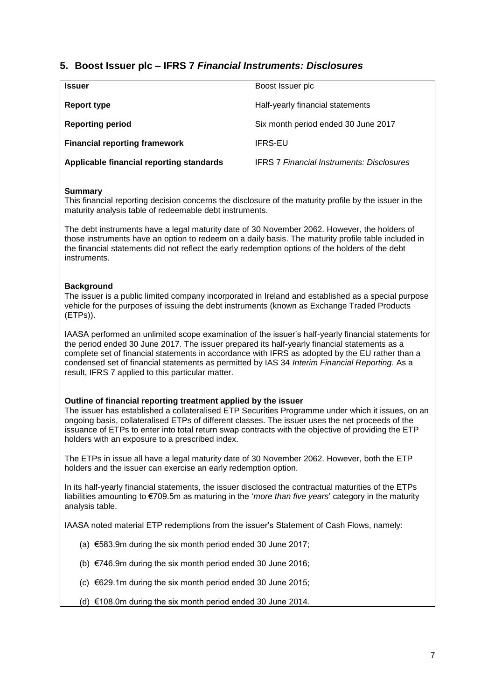## <span id="page-8-0"></span>**5. Boost Issuer plc – IFRS 7** *Financial Instruments: Disclosures*

| <b>Issuer</b>                            | Boost Issuer plc                                 |
|------------------------------------------|--------------------------------------------------|
| Report type                              | Half-yearly financial statements                 |
| <b>Reporting period</b>                  | Six month period ended 30 June 2017              |
| <b>Financial reporting framework</b>     | <b>IFRS-EU</b>                                   |
| Applicable financial reporting standards | <b>IFRS 7 Financial Instruments: Disclosures</b> |

#### **Summary**

This financial reporting decision concerns the disclosure of the maturity profile by the issuer in the maturity analysis table of redeemable debt instruments.

The debt instruments have a legal maturity date of 30 November 2062. However, the holders of those instruments have an option to redeem on a daily basis. The maturity profile table included in the financial statements did not reflect the early redemption options of the holders of the debt instruments.

#### **Background**

The issuer is a public limited company incorporated in Ireland and established as a special purpose vehicle for the purposes of issuing the debt instruments (known as Exchange Traded Products (ETPs)).

IAASA performed an unlimited scope examination of the issuer's half-yearly financial statements for the period ended 30 June 2017. The issuer prepared its half-yearly financial statements as a complete set of financial statements in accordance with IFRS as adopted by the EU rather than a condensed set of financial statements as permitted by IAS 34 *Interim Financial Reporting*. As a result, IFRS 7 applied to this particular matter.

#### **Outline of financial reporting treatment applied by the issuer**

The issuer has established a collateralised ETP Securities Programme under which it issues, on an ongoing basis, collateralised ETPs of different classes. The issuer uses the net proceeds of the issuance of ETPs to enter into total return swap contracts with the objective of providing the ETP holders with an exposure to a prescribed index.

The ETPs in issue all have a legal maturity date of 30 November 2062. However, both the ETP holders and the issuer can exercise an early redemption option.

In its half-yearly financial statements, the issuer disclosed the contractual maturities of the ETPs liabilities amounting to €709.5m as maturing in the '*more than five years*' category in the maturity analysis table.

IAASA noted material ETP redemptions from the issuer's Statement of Cash Flows, namely:

- (a) €583.9m during the six month period ended 30 June 2017;
- (b) €746.9m during the six month period ended 30 June 2016;
- (c) €629.1m during the six month period ended 30 June 2015;

(d) €108.0m during the six month period ended 30 June 2014.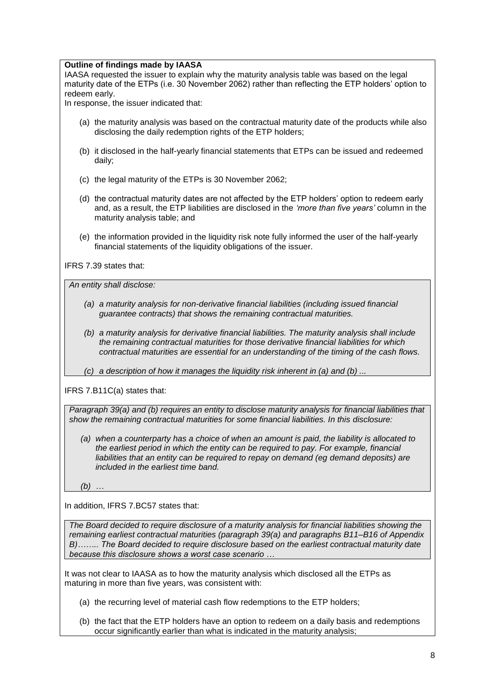#### **Outline of findings made by IAASA**

IAASA requested the issuer to explain why the maturity analysis table was based on the legal maturity date of the ETPs (i.e. 30 November 2062) rather than reflecting the ETP holders' option to redeem early.

In response, the issuer indicated that:

- (a) the maturity analysis was based on the contractual maturity date of the products while also disclosing the daily redemption rights of the ETP holders;
- (b) it disclosed in the half-yearly financial statements that ETPs can be issued and redeemed daily;
- (c) the legal maturity of the ETPs is 30 November 2062;
- (d) the contractual maturity dates are not affected by the ETP holders' option to redeem early and, as a result, the ETP liabilities are disclosed in the *'more than five years'* column in the maturity analysis table; and
- (e) the information provided in the liquidity risk note fully informed the user of the half-yearly financial statements of the liquidity obligations of the issuer.

IFRS 7.39 states that:

*An entity shall disclose:* 

- *(a) a maturity analysis for non-derivative financial liabilities (including issued financial guarantee contracts) that shows the remaining contractual maturities.*
- *(b) a maturity analysis for derivative financial liabilities. The maturity analysis shall include the remaining contractual maturities for those derivative financial liabilities for which contractual maturities are essential for an understanding of the timing of the cash flows.*
- *(c) a description of how it manages the liquidity risk inherent in (a) and (b) ...*

IFRS 7.B11C(a) states that:

*Paragraph 39(a) and (b) requires an entity to disclose maturity analysis for financial liabilities that show the remaining contractual maturities for some financial liabilities. In this disclosure:*

*(a) when a counterparty has a choice of when an amount is paid, the liability is allocated to the earliest period in which the entity can be required to pay. For example, financial liabilities that an entity can be required to repay on demand (eg demand deposits) are included in the earliest time band.* 

*(b) …*

In addition, IFRS 7.BC57 states that:

*The Board decided to require disclosure of a maturity analysis for financial liabilities showing the remaining earliest contractual maturities (paragraph 39(a) and [paragraphs B11–B16](https://www.charteredaccountants.ie/chariot/text/print/ifrs07.html#ifrs07_prb11) of [Appendix](https://www.charteredaccountants.ie/chariot/text/print/ifrs07.html#ifrs07_apxb)  [B\)](https://www.charteredaccountants.ie/chariot/text/print/ifrs07.html#ifrs07_apxb)…….. The Board decided to require disclosure based on the earliest contractual maturity date because this disclosure shows a worst case scenario …*

It was not clear to IAASA as to how the maturity analysis which disclosed all the ETPs as maturing in more than five years, was consistent with:

- (a) the recurring level of material cash flow redemptions to the ETP holders;
- (b) the fact that the ETP holders have an option to redeem on a daily basis and redemptions occur significantly earlier than what is indicated in the maturity analysis;